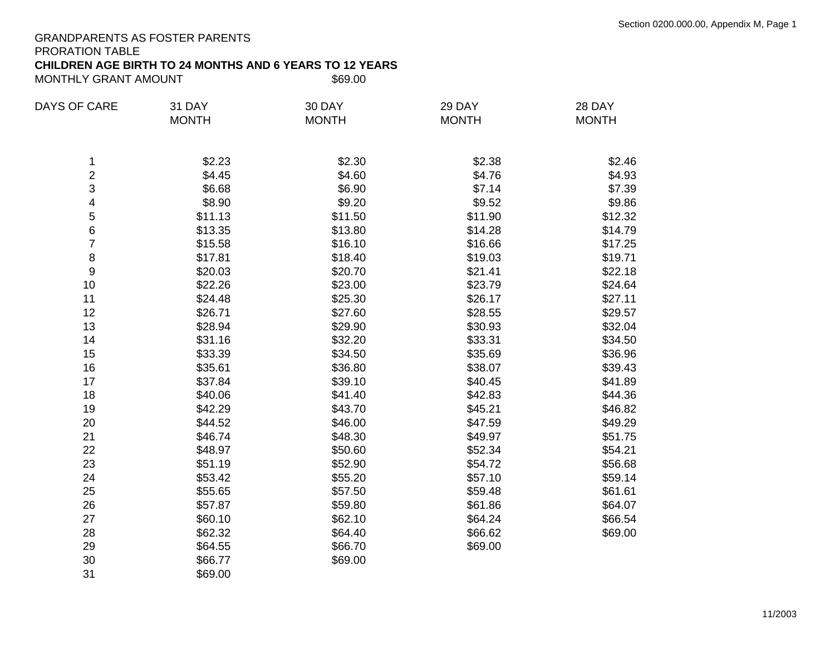### GRANDPARENTS AS FOSTER PARENTS PRORATION TABLE

# **CHILDREN AGE BIRTH TO 24 MONTHS AND 6 YEARS TO 12 YEARS**

MONTHLY GRANT AMOUNT

| <b>DAYS OF CARE</b> | 31 DAY       | 30 DAY       | 29 DAY       | 28 DAY       |
|---------------------|--------------|--------------|--------------|--------------|
|                     | <b>MONTH</b> | <b>MONTH</b> | <b>MONTH</b> | <b>MONTH</b> |
| 1                   | \$2.23       | \$2.30       | \$2.38       | \$2.46       |
| $\boldsymbol{2}$    | \$4.45       | \$4.60       | \$4.76       | \$4.93       |
| 3                   | \$6.68       | \$6.90       | \$7.14       | \$7.39       |
| 4                   | \$8.90       | \$9.20       | \$9.52       | \$9.86       |
| 5                   | \$11.13      | \$11.50      | \$11.90      | \$12.32      |
| 6                   | \$13.35      | \$13.80      | \$14.28      | \$14.79      |
| 7                   | \$15.58      | \$16.10      | \$16.66      | \$17.25      |
| $\bf 8$             | \$17.81      | \$18.40      | \$19.03      | \$19.71      |
| 9                   | \$20.03      | \$20.70      | \$21.41      | \$22.18      |
| 10                  | \$22.26      | \$23.00      | \$23.79      | \$24.64      |
| 11                  | \$24.48      | \$25.30      | \$26.17      | \$27.11      |
| 12                  | \$26.71      | \$27.60      | \$28.55      | \$29.57      |
| 13                  | \$28.94      | \$29.90      | \$30.93      | \$32.04      |
| 14                  | \$31.16      | \$32.20      | \$33.31      | \$34.50      |
| 15                  | \$33.39      | \$34.50      | \$35.69      | \$36.96      |
| 16                  | \$35.61      | \$36.80      | \$38.07      | \$39.43      |
| 17                  | \$37.84      | \$39.10      | \$40.45      | \$41.89      |
| 18                  | \$40.06      | \$41.40      | \$42.83      | \$44.36      |
| 19                  | \$42.29      | \$43.70      | \$45.21      | \$46.82      |
| 20                  | \$44.52      | \$46.00      | \$47.59      | \$49.29      |
| 21                  | \$46.74      | \$48.30      | \$49.97      | \$51.75      |
| 22                  | \$48.97      | \$50.60      | \$52.34      | \$54.21      |
| 23                  | \$51.19      | \$52.90      | \$54.72      | \$56.68      |
| 24                  | \$53.42      | \$55.20      | \$57.10      | \$59.14      |
| 25                  | \$55.65      | \$57.50      | \$59.48      | \$61.61      |
| 26                  | \$57.87      | \$59.80      | \$61.86      | \$64.07      |
| 27                  | \$60.10      | \$62.10      | \$64.24      | \$66.54      |
| 28                  | \$62.32      | \$64.40      | \$66.62      | \$69.00      |
| 29                  | \$64.55      | \$66.70      | \$69.00      |              |
| 30                  | \$66.77      | \$69.00      |              |              |
| 31                  | \$69.00      |              |              |              |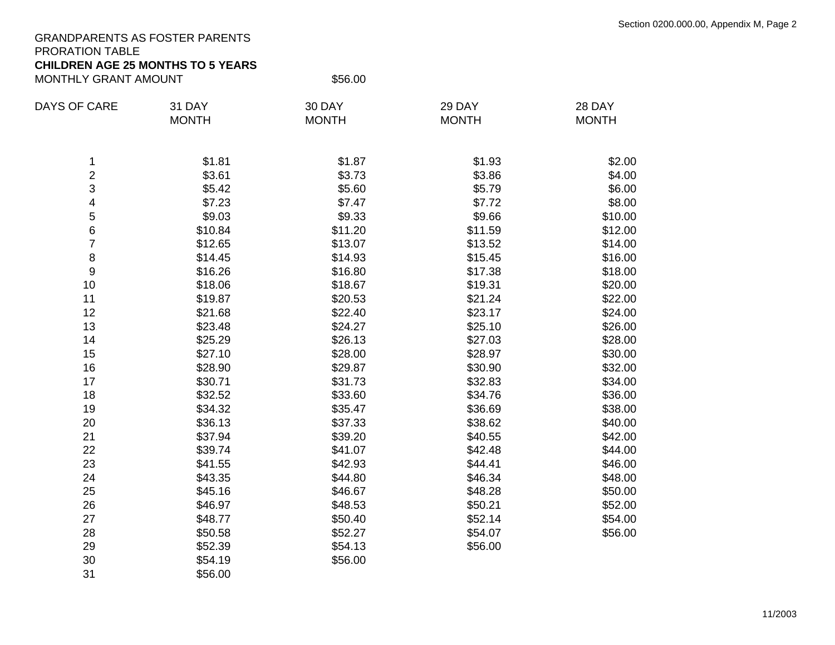## GRANDPARENTS AS FOSTER PARENTS PRORATION TABLE

## **CHILDREN AGE 25 MONTHS TO 5 YEARS**

MONTHLY GRANT AMOUNT \$56.00

| <b>DAYS OF CARE</b> | 31 DAY       | 30 DAY       | 29 DAY       | 28 DAY       |
|---------------------|--------------|--------------|--------------|--------------|
|                     | <b>MONTH</b> | <b>MONTH</b> | <b>MONTH</b> | <b>MONTH</b> |
| 1                   | \$1.81       | \$1.87       | \$1.93       | \$2.00       |
| $\boldsymbol{2}$    | \$3.61       | \$3.73       | \$3.86       | \$4.00       |
| 3                   | \$5.42       | \$5.60       | \$5.79       | \$6.00       |
| 4                   | \$7.23       | \$7.47       | \$7.72       | \$8.00       |
| 5                   | \$9.03       | \$9.33       | \$9.66       | \$10.00      |
| 6                   | \$10.84      | \$11.20      | \$11.59      | \$12.00      |
| $\overline{7}$      | \$12.65      | \$13.07      | \$13.52      | \$14.00      |
| $\,8\,$             | \$14.45      | \$14.93      | \$15.45      | \$16.00      |
| $\boldsymbol{9}$    | \$16.26      | \$16.80      | \$17.38      | \$18.00      |
| 10                  | \$18.06      | \$18.67      | \$19.31      | \$20.00      |
| 11                  | \$19.87      | \$20.53      | \$21.24      | \$22.00      |
| 12                  | \$21.68      | \$22.40      | \$23.17      | \$24.00      |
| 13                  | \$23.48      | \$24.27      | \$25.10      | \$26.00      |
| 14                  | \$25.29      | \$26.13      | \$27.03      | \$28.00      |
| 15                  | \$27.10      | \$28.00      | \$28.97      | \$30.00      |
| 16                  | \$28.90      | \$29.87      | \$30.90      | \$32.00      |
| 17                  | \$30.71      | \$31.73      | \$32.83      | \$34.00      |
| 18                  | \$32.52      | \$33.60      | \$34.76      | \$36.00      |
| 19                  | \$34.32      | \$35.47      | \$36.69      | \$38.00      |
| 20                  | \$36.13      | \$37.33      | \$38.62      | \$40.00      |
| 21                  | \$37.94      | \$39.20      | \$40.55      | \$42.00      |
| 22                  | \$39.74      | \$41.07      | \$42.48      | \$44.00      |
| 23                  | \$41.55      | \$42.93      | \$44.41      | \$46.00      |
| 24                  | \$43.35      | \$44.80      | \$46.34      | \$48.00      |
| 25                  | \$45.16      | \$46.67      | \$48.28      | \$50.00      |
| 26                  | \$46.97      | \$48.53      | \$50.21      | \$52.00      |
| 27                  | \$48.77      | \$50.40      | \$52.14      | \$54.00      |
| 28                  | \$50.58      | \$52.27      | \$54.07      | \$56.00      |
| 29                  | \$52.39      | \$54.13      | \$56.00      |              |
| 30                  | \$54.19      | \$56.00      |              |              |
| 31                  | \$56.00      |              |              |              |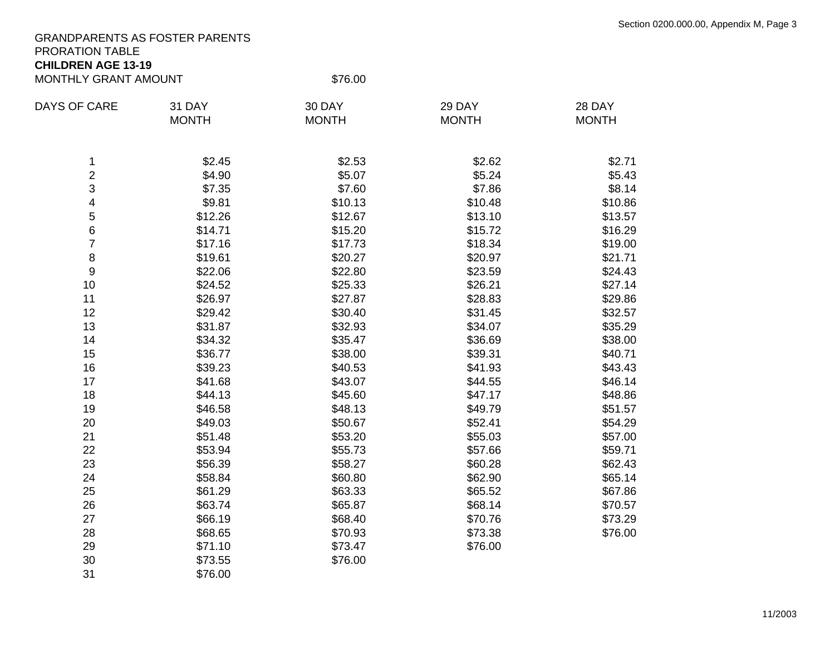## GRANDPARENTS AS FOSTER PARENTS PRORATION TABLE

#### **CHILDREN AGE 13-19** MONTHLY GRANT AMOUNT \$76.00

| <b>DAYS OF CARE</b> | 31 DAY       | 30 DAY       | 29 DAY       | 28 DAY       |
|---------------------|--------------|--------------|--------------|--------------|
|                     | <b>MONTH</b> | <b>MONTH</b> | <b>MONTH</b> | <b>MONTH</b> |
|                     |              |              |              |              |
| 1                   | \$2.45       | \$2.53       | \$2.62       | \$2.71       |
| $\overline{2}$      | \$4.90       | \$5.07       | \$5.24       | \$5.43       |
| 3                   | \$7.35       | \$7.60       | \$7.86       | \$8.14       |
| 4                   | \$9.81       | \$10.13      | \$10.48      | \$10.86      |
| 5                   | \$12.26      | \$12.67      | \$13.10      | \$13.57      |
| 6                   | \$14.71      | \$15.20      | \$15.72      | \$16.29      |
| $\overline{7}$      | \$17.16      | \$17.73      | \$18.34      | \$19.00      |
| 8                   | \$19.61      | \$20.27      | \$20.97      | \$21.71      |
| 9                   | \$22.06      | \$22.80      | \$23.59      | \$24.43      |
| 10                  | \$24.52      | \$25.33      | \$26.21      | \$27.14      |
| 11                  | \$26.97      | \$27.87      | \$28.83      | \$29.86      |
| 12                  | \$29.42      | \$30.40      | \$31.45      | \$32.57      |
| 13                  | \$31.87      | \$32.93      | \$34.07      | \$35.29      |
| 14                  | \$34.32      | \$35.47      | \$36.69      | \$38.00      |
| 15                  | \$36.77      | \$38.00      | \$39.31      | \$40.71      |
| 16                  | \$39.23      | \$40.53      | \$41.93      | \$43.43      |
| 17                  | \$41.68      | \$43.07      | \$44.55      | \$46.14      |
| 18                  | \$44.13      | \$45.60      | \$47.17      | \$48.86      |
| 19                  | \$46.58      | \$48.13      | \$49.79      | \$51.57      |
| 20                  | \$49.03      | \$50.67      | \$52.41      | \$54.29      |
| 21                  | \$51.48      | \$53.20      | \$55.03      | \$57.00      |
| 22                  | \$53.94      | \$55.73      | \$57.66      | \$59.71      |
| 23                  | \$56.39      | \$58.27      | \$60.28      | \$62.43      |
| 24                  | \$58.84      | \$60.80      | \$62.90      | \$65.14      |
| 25                  | \$61.29      | \$63.33      | \$65.52      | \$67.86      |
| 26                  | \$63.74      | \$65.87      | \$68.14      | \$70.57      |
| 27                  | \$66.19      | \$68.40      | \$70.76      | \$73.29      |
| 28                  | \$68.65      | \$70.93      | \$73.38      | \$76.00      |
| 29                  | \$71.10      | \$73.47      | \$76.00      |              |
| 30                  | \$73.55      | \$76.00      |              |              |
| 31                  | \$76.00      |              |              |              |